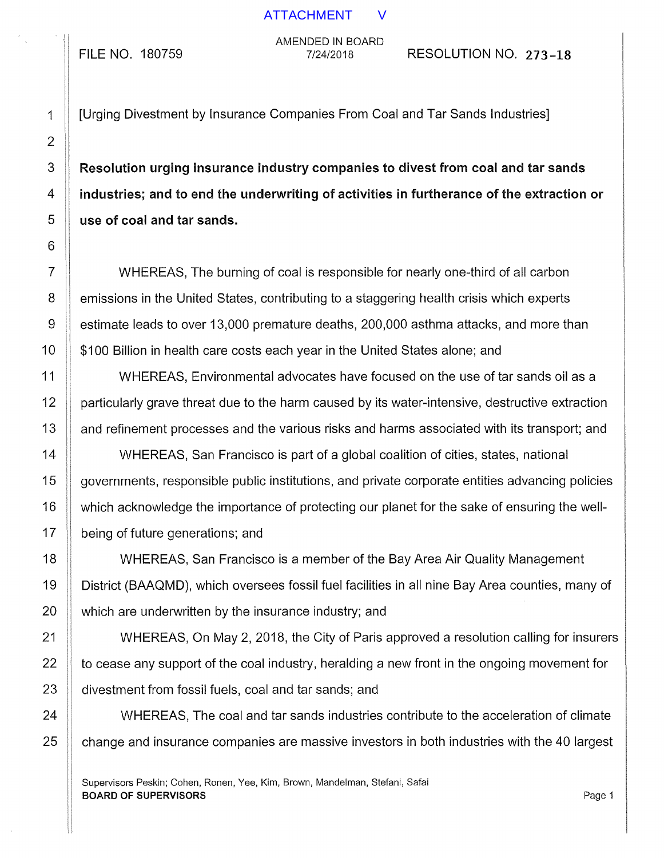FILE NO. 180759

AMENDED IN BOARD

7/24/2018 RESOLUTION NO. 273-18

1 [Urging Divestment by Insurance Companies From Coal and Tar Sands Industries]

3 **Resolution urging insurance industry companies to divest from coal and tar sands**  $4 \parallel$  industries; and to end the underwriting of activities in furtherance of the extraction or  $5$  use of coal and tar sands.

7 WHEREAS, The burning of coal is responsible for nearly one-third of all carbon  $8 \parallel$  emissions in the United States, contributing to a staggering health crisis which experts 9 | estimate leads to over 13,000 premature deaths, 200,000 asthma attacks, and more than 10 | \$100 Billion in health care costs each year in the United States alone; and

11 WHEREAS, Environmental advocates have focused on the use of tar sands oil as a 12 | particularly grave threat due to the harm caused by its water-intensive, destructive extraction 13 | and refinement processes and the various risks and harms associated with its transport; and

14 WHEREAS, San Francisco is part of a global coalition of cities, states, national  $15$  governments, responsible public institutions, and private corporate entities advancing policies 16 | which acknowledge the importance of protecting our planet for the sake of ensuring the well-17 **being of future generations; and** 

18 WHEREAS, San Francisco is a member of the Bay Area Air Quality Management 19 District (BAAQMD), which oversees fossil fuel facilities in all nine Bay Area counties, many of 20 **which are underwritten by the insurance industry; and** 

21 WHEREAS, On May 2, 2018, the City of Paris approved a resolution calling for insurers  $22$   $\parallel$  to cease any support of the coal industry, heralding a new front in the ongoing movement for 23 divestment from fossil fuels, coal and tar sands; and

24 | WHEREAS, The coal and tar sands industries contribute to the acceleration of climate  $25$   $\parallel$  change and insurance companies are massive investors in both industries with the 40 largest

Supervisors Peskin; Cohen, Ronen, Yee, Kim, Brown, Mandelman, Stefani, Safai **BOARD OF SUPERVISORS** Page 1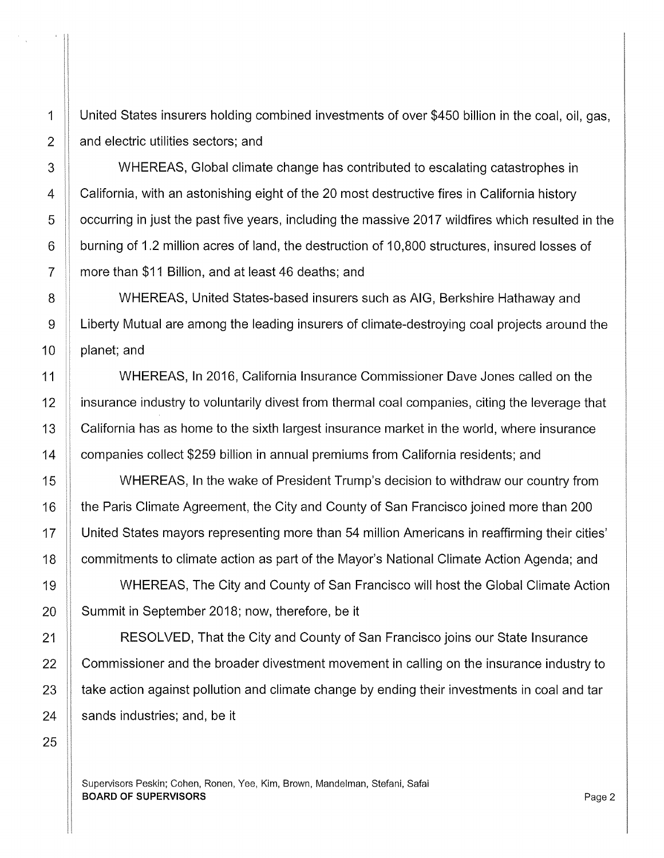1 United States insurers holding combined investments of over \$450 billion in the coal, oil, gas,  $2$  | and electric utilities sectors; and

3 WHEREAS, Global climate change has contributed to escalating catastrophes in 4 California, with an astonishing eight of the 20 most destructive fires in California history 5 | occurring in just the past five years, including the massive 2017 wildfires which resulted in the 6 burning of 1.2 million acres of land, the destruction of 10,800 structures, insured losses of 7 | more than \$11 Billion, and at least 46 deaths; and

8 WHEREAS, United States-based insurers such as AIG, Berkshire Hathaway and 9 **Example 2** Liberty Mutual are among the leading insurers of climate-destroying coal projects around the  $10$  | planet; and

11 WHEREAS, In 2016, California Insurance Commissioner Dave Jones called on the 12 insurance industry to voluntarily divest from thermal coal companies, citing the leverage that 13 | California has as home to the sixth largest insurance market in the world, where insurance 14 **companies collect \$259 billion in annual premiums from California residents**; and

15 WHEREAS, In the wake of President Trump's decision to withdraw our country from 16 **the Paris Climate Agreement, the City and County of San Francisco joined more than 200** 17 United States mayors representing more than 54 million Americans in reaffirming their cities' 18 | commitments to climate action as part of the Mayor's National Climate Action Agenda; and

19 WHEREAS, The City and County of San Francisco will host the Global Climate Action 20 | Summit in September 2018; now, therefore, be it

21 | RESOLVED, That the City and County of San Francisco joins our State Insurance **Commissioner and the broader divestment movement in calling on the insurance industry to**  $\parallel$  take action against pollution and climate change by ending their investments in coal and tar | sands industries; and, be it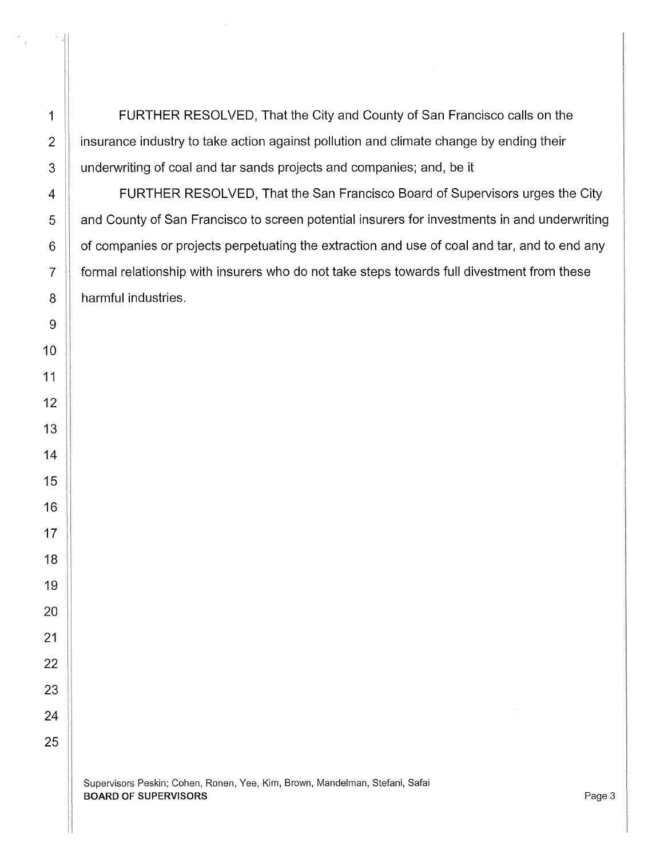**FURTHER RESOLVED.** That the City and County of San Francisco calls on the 2 | insurance industry to take action against pollution and climate change by ending their 3 underwriting of coal and tar sands projects and companies; and, be it

**FURTHER RESOLVED, That the San Francisco Board of Supervisors urges the City and County of San Francisco to screen potential insurers for investments in and underwriting**  | of companies or projects perpetuating the extraction and use of coal and tar, and to end any 7 | formal relationship with insurers who do not take steps towards full divestment from these 8 | harmful industries.